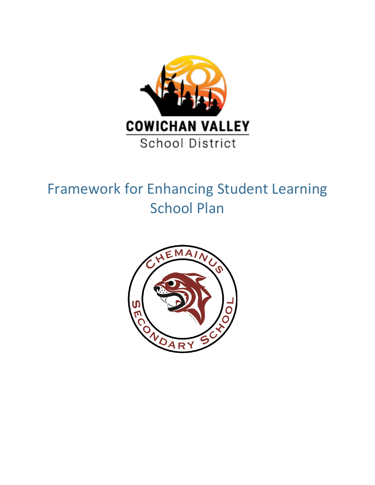

# Framework for Enhancing Student Learning School Plan

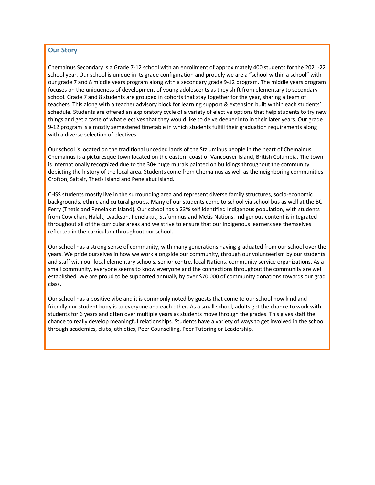# **Our Story**

Chemainus Secondary is a Grade 7-12 school with an enrollment of approximately 400 students for the 2021-22 school year. Our school is unique in its grade configuration and proudly we are a "school within a school" with our grade 7 and 8 middle years program along with a secondary grade 9-12 program. The middle years program focuses on the uniqueness of development of young adolescents as they shift from elementary to secondary school. Grade 7 and 8 students are grouped in cohorts that stay together for the year, sharing a team of teachers. This along with a teacher advisory block for learning support & extension built within each students' schedule. Students are offered an exploratory cycle of a variety of elective options that help students to try new things and get a taste of what electives that they would like to delve deeper into in their later years. Our grade 9-12 program is a mostly semestered timetable in which students fulfill their graduation requirements along with a diverse selection of electives.

Our school is located on the traditional unceded lands of the Stz'uminus people in the heart of Chemainus. Chemainus is a picturesque town located on the eastern coast of Vancouver Island, British Columbia. The town is internationally recognized due to the 30+ huge murals painted on buildings throughout the community depicting the history of the local area. Students come from Chemainus as well as the neighboring communities Crofton, Saltair, Thetis Island and Penelakut Island.

CHSS students mostly live in the surrounding area and represent diverse family structures, socio-economic backgrounds, ethnic and cultural groups. Many of our students come to school via school bus as well at the BC Ferry (Thetis and Penelakut Island). Our school has a 23% self identified Indigenous population, with students from Cowichan, Halalt, Lyackson, Penelakut, Stz'uminus and Metis Nations. Indigenous content is integrated throughout all of the curricular areas and we strive to ensure that our Indigenous learners see themselves reflected in the curriculum throughout our school.

Our school has a strong sense of community, with many generations having graduated from our school over the years. We pride ourselves in how we work alongside our community, through our volunteerism by our students and staff with our local elementary schools, senior centre, local Nations, community service organizations. As a small community, everyone seems to know everyone and the connections throughout the community are well established. We are proud to be supported annually by over \$70 000 of community donations towards our grad class.

Our school has a positive vibe and it is commonly noted by guests that come to our school how kind and friendly our student body is to everyone and each other. As a small school, adults get the chance to work with students for 6 years and often over multiple years as students move through the grades. This gives staff the chance to really develop meaningful relationships. Students have a variety of ways to get involved in the school through academics, clubs, athletics, Peer Counselling, Peer Tutoring or Leadership.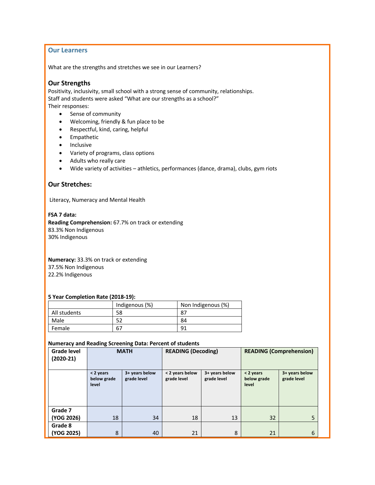## **Our Learners**

What are the strengths and stretches we see in our Learners?

## **Our Strengths**

Positivity, inclusivity, small school with a strong sense of community, relationships. Staff and students were asked "What are our strengths as a school?" Their responses:

- Sense of community
- Welcoming, friendly & fun place to be
- Respectful, kind, caring, helpful
- Empathetic
- Inclusive
- Variety of programs, class options
- Adults who really care
- Wide variety of activities athletics, performances (dance, drama), clubs, gym riots

## **Our Stretches:**

Literacy, Numeracy and Mental Health

**FSA 7 data: Reading Comprehension:** 67.7% on track or extending 83.3% Non Indigenous 30% Indigenous

**Numeracy:** 33.3% on track or extending 37.5% Non Indigenous 22.2% Indigenous

#### **5 Year Completion Rate (2018-19):**

|              | Indigenous (%) | Non Indigenous (%) |
|--------------|----------------|--------------------|
| All students | 58             | 87                 |
| Male         |                | 84                 |
| Female       | 67             | 91                 |

## **Numeracy and Reading Screening Data: Percent of students**

| <b>Grade level</b><br>$(2020-21)$ |                                   | <b>MATH</b>                   | <b>READING (Decoding)</b>                                       |    | <b>READING (Comprehension)</b>    |                               |  |
|-----------------------------------|-----------------------------------|-------------------------------|-----------------------------------------------------------------|----|-----------------------------------|-------------------------------|--|
|                                   | < 2 years<br>below grade<br>level | 3+ years below<br>grade level | < 2 years below<br>3+ years below<br>grade level<br>grade level |    | < 2 years<br>below grade<br>level | 3+ years below<br>grade level |  |
| Grade 7                           |                                   |                               |                                                                 |    |                                   |                               |  |
| (YOG 2026)                        | 18                                | 34                            | 18                                                              | 13 | 32                                | 5                             |  |
| Grade 8                           |                                   |                               |                                                                 |    |                                   |                               |  |
| (YOG 2025)                        | 8                                 | 40                            | 21                                                              | 8  | 21                                | 6                             |  |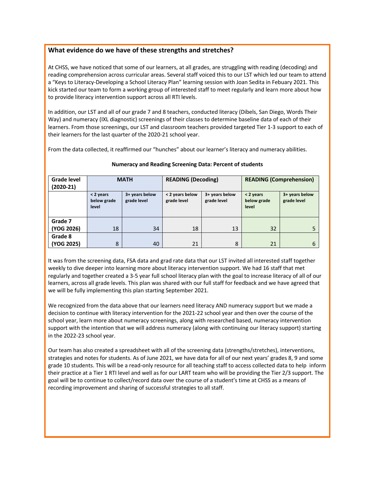# **What evidence do we have of these strengths and stretches?**

At CHSS, we have noticed that some of our learners, at all grades, are struggling with reading (decoding) and reading comprehension across curricular areas. Several staff voiced this to our LST which led our team to attend a "Keys to Literacy-Developing a School Literacy Plan" learning session with Joan Sedita in Febuary 2021. This kick started our team to form a working group of interested staff to meet regularly and learn more about how to provide literacy intervention support across all RTI levels.

In addition, our LST and all of our grade 7 and 8 teachers, conducted literacy (Dibels, San Diego, Words Their Way) and numeracy (IXL diagnostic) screenings of their classes to determine baseline data of each of their learners. From those screenings, our LST and classroom teachers provided targeted Tier 1-3 support to each of their learners for the last quarter of the 2020-21 school year.

From the data collected, it reaffirmed our "hunches" about our learner's literacy and numeracy abilities.

| <b>Grade level</b><br>$(2020-21)$ |                                                                    | <b>MATH</b> | <b>READING (Decoding)</b>                                       |    | <b>READING (Comprehension)</b>      |                                 |  |
|-----------------------------------|--------------------------------------------------------------------|-------------|-----------------------------------------------------------------|----|-------------------------------------|---------------------------------|--|
|                                   | 3+ years below<br>< 2 years<br>grade level<br>below grade<br>level |             | 3+ years below<br>< 2 years below<br>grade level<br>grade level |    | $<$ 2 years<br>below grade<br>level | $3+$ years below<br>grade level |  |
|                                   |                                                                    |             |                                                                 |    |                                     |                                 |  |
| Grade 7<br>(YOG 2026)             | 18                                                                 | 34          | 18                                                              | 13 | 32                                  |                                 |  |
| Grade 8<br>(YOG 2025)             | 8                                                                  | 40          | 21                                                              | 8  |                                     | 6                               |  |

## **Numeracy and Reading Screening Data: Percent of students**

It was from the screening data, FSA data and grad rate data that our LST invited all interested staff together weekly to dive deeper into learning more about literacy intervention support. We had 16 staff that met regularly and together created a 3-5 year full school literacy plan with the goal to increase literacy of all of our learners, across all grade levels. This plan was shared with our full staff for feedback and we have agreed that we will be fully implementing this plan starting September 2021.

We recognized from the data above that our learners need literacy AND numeracy support but we made a decision to continue with literacy intervention for the 2021-22 school year and then over the course of the school year, learn more about numeracy screenings, along with researched based, numeracy intervention support with the intention that we will address numeracy (along with continuing our literacy support) starting in the 2022-23 school year.

Our team has also created a spreadsheet with all of the screening data (strengths/stretches), interventions, strategies and notes for students. As of June 2021, we have data for all of our next years' grades 8, 9 and some grade 10 students. This will be a read-only resource for all teaching staff to access collected data to help inform their practice at a Tier 1 RTI level and well as for our LART team who will be providing the Tier 2/3 support. The goal will be to continue to collect/record data over the course of a student's time at CHSS as a means of recording improvement and sharing of successful strategies to all staff.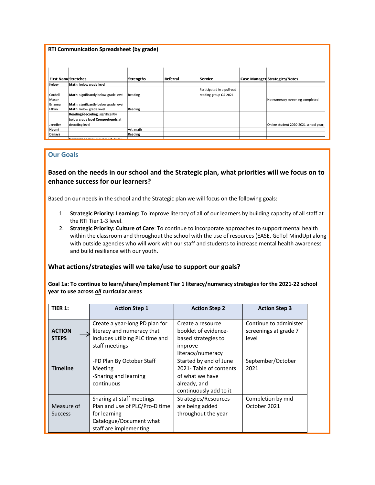|                | <b>RTI Communication Spreadsheet (by grade)</b> |                  |          |                            |                                       |
|----------------|-------------------------------------------------|------------------|----------|----------------------------|---------------------------------------|
|                | <b>First Name Stretches</b>                     | <b>Strengths</b> | Referral | <b>Service</b>             | <b>Case Manager Strategies/Notes</b>  |
| Kelsey         | Math: below grade level                         |                  |          |                            |                                       |
|                |                                                 |                  |          | Participated in a pull-out |                                       |
| Cordell        | Math: significantly below grade level           | Reading          |          | reading group Q4 2021      |                                       |
| Mason          |                                                 |                  |          |                            | No numeracy screening completed       |
| <b>Brianna</b> | Math: significantly below grade level           |                  |          |                            |                                       |
| Ethan          | Math: below grade level                         | Reading          |          |                            |                                       |
|                | Reading/decoding: significantly                 |                  |          |                            |                                       |
|                | below grade level Comprehends at                |                  |          |                            |                                       |
| Jennifer       | decoding level                                  |                  |          |                            | Online student 2020-2021 school year: |
| Naomi          |                                                 | Art, math        |          |                            |                                       |
| Danaya         |                                                 | Reading          |          |                            |                                       |
|                | Conservable and any Charles conductor for       |                  |          |                            |                                       |

# **Our Goals**

# **Based on the needs in our school and the Strategic plan, what priorities will we focus on to enhance success for our learners?**

Based on our needs in the school and the Strategic plan we will focus on the following goals:

- 1. **Strategic Priority: Learning:** To improve literacy of all of our learners by building capacity of all staff at the RTI Tier 1-3 level.
- 2. **Strategic Priority: Culture of Care**: To continue to incorporate approaches to support mental health within the classroom and throughout the school with the use of resources (EASE, GoTo! MindUp) along with outside agencies who will work with our staff and students to increase mental health awareness and build resilience with our youth.

# **What actions/strategies will we take/use to support our goals?**

**Goal 1a: To continue to learn/share/implement Tier 1 literacy/numeracy strategies for the 2021-22 school year to use across** *all* **curricular areas**

| <b>TIER 1:</b>                | <b>Action Step 1</b>                                                                                                             | <b>Action Step 2</b>                                                                                          | <b>Action Step 3</b>                                     |
|-------------------------------|----------------------------------------------------------------------------------------------------------------------------------|---------------------------------------------------------------------------------------------------------------|----------------------------------------------------------|
| <b>ACTION</b><br><b>STEPS</b> | Create a year-long PD plan for<br>literacy and numeracy that<br>includes utilizing PLC time and<br>staff meetings                | Create a resource<br>booklet of evidence-<br>based strategies to<br>improve<br>literacy/numeracy              | Continue to administer<br>screenings at grade 7<br>level |
| <b>Timeline</b>               | -PD Plan By October Staff<br><b>Meeting</b><br>-Sharing and learning<br>continuous                                               | Started by end of June<br>2021-Table of contents<br>of what we have<br>already, and<br>continuously add to it | September/October<br>2021                                |
| Measure of<br><b>Success</b>  | Sharing at staff meetings<br>Plan and use of PLC/Pro-D time<br>for learning<br>Catalogue/Document what<br>staff are implementing | Strategies/Resources<br>are being added<br>throughout the year                                                | Completion by mid-<br>October 2021                       |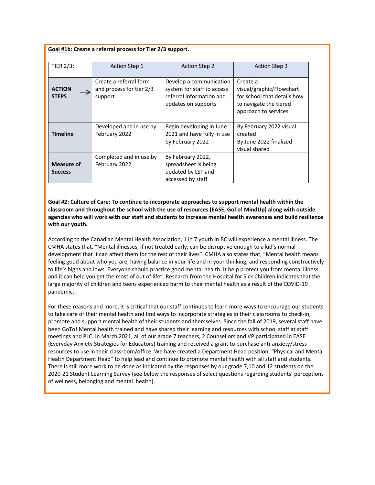## **Goal #1b: Create a referral process for Tier 2/3 support.**

| <b>TIER 2/3:</b>                    | <b>Action Step 1</b>                                          | <b>Action Step 2</b>                                                                                     | <b>Action Step 3</b>                                                                                                  |
|-------------------------------------|---------------------------------------------------------------|----------------------------------------------------------------------------------------------------------|-----------------------------------------------------------------------------------------------------------------------|
| <b>ACTION</b><br><b>STEPS</b>       | Create a referral form<br>and process for tier 2/3<br>support | Develop a communication<br>system for staff to access<br>referral information and<br>updates on supports | Create a<br>visual/graphic/Flowchart<br>for school that details how<br>to navigate the tiered<br>approach to services |
| <b>Timeline</b>                     | Developed and in use by<br>February 2022                      | Begin developing in June<br>2021 and have fully in use<br>by February 2022                               | By February 2022 visual<br>created<br>By June 2022 finalized<br>visual shared                                         |
| <b>Measure of</b><br><b>Success</b> | Completed and in use by<br>February 2022                      | By February 2022,<br>spreadsheet is being<br>updated by LST and<br>accessed by staff                     |                                                                                                                       |

**Goal #2: Culture of Care: To continue to incorporate approaches to support mental health within the classroom and throughout the school with the use of resources (EASE, GoTo! MindUp) along with outside agencies who will work with our staff and students to increase mental health awareness and build resilience with our youth.**

According to the Canadian Mental Health Association, 1 in 7 youth in BC will experience a mental illness. The CMHA states that, "Mental illnesses, if not treated early, can be disruptive enough to a kid's normal development that it can affect them for the rest of their lives". CMHA also states that, "Mental health means feeling good about who you are, having balance in your life and in your thinking, and responding constructively to life's highs and lows. Everyone should practice good mental health. It help protect you from mental illness, and it can help you get the most of out of life". Research from the Hospital for Sick Children indicates that the large majority of children and teens experienced harm to their mental health as a result of the COVID-19 pandemic.

For these reasons and more, it is critical that our staff continues to learn more ways to encourage our students to take care of their mental health and find ways to incorporate strategies in their classrooms to check-in, promote and support mental health of their students and themselves. Since the fall of 2019, several staff have been GoTo! Mental health trained and have shared their learning and resources with school staff at staff meetings and PLC. In March 2021, all of our grade 7 teachers, 2 Counsellors and VP participated in EASE (Everyday Anxiety Strategies for Educators) training and received a grant to purchase anti-anxiety/stress resources to use in their classroom/office. We have created a Department Head position, "Physical and Mental Health Department Head" to help lead and continue to promote mental health with all staff and students. There is still more work to be done as indicated by the responses by our grade 7,10 and 12 students on the 2020-21 Student Learning Survey (see below the responses of select questions regarding students' perceptions of wellness, belonging and mental health).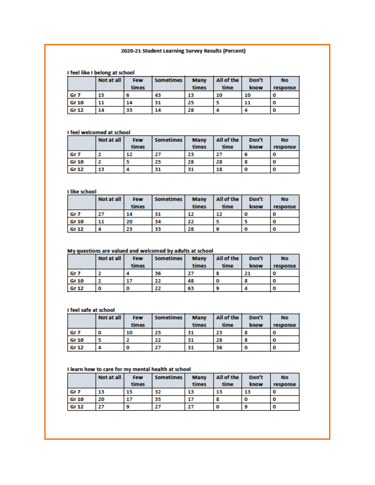## 2020-21 Student Learning Survey Results (Percent)

## I feel like I belong at school

|                 | Not at all | Few   | Sometimes | <b>Many</b> | All of the | Don't | <b>No</b> |
|-----------------|------------|-------|-----------|-------------|------------|-------|-----------|
|                 |            | times |           | times       | time       | know  | response  |
| Gr <sub>7</sub> | 15         |       | 43        | 13          | 10         | 10    | O         |
| <b>Gr 10</b>    | 11         | 14    | 31        | 25          |            | 11    | O         |
| <b>Gr 12</b>    | 14         | 33    | 14        | 28          |            |       |           |

## I feel welcomed at school

|                 | Not at all | <b>Few</b><br>times | Sometimes | <b>Many</b><br>times | All of the<br>time | Don't<br>know | <b>No</b><br>response |
|-----------------|------------|---------------------|-----------|----------------------|--------------------|---------------|-----------------------|
| Gr <sub>7</sub> |            | 12                  |           | 23                   | 27                 |               |                       |
| <b>Gr 10</b>    |            |                     | 25        | 28                   | 28                 |               |                       |
| <b>Gr 12</b>    | 13         |                     | 31        | 31                   | 18                 |               | O                     |

#### I like school

|                 | Not at all | <b>Few</b> | Sometimes | <b>Many</b> | All of the | Don't | <b>No</b> |
|-----------------|------------|------------|-----------|-------------|------------|-------|-----------|
|                 |            | times      |           | times       | time       | know  | response  |
| Gr <sub>7</sub> | 27         | 14         | 31        | 12          | 12         |       | O         |
| <b>Gr 10</b>    | 11         | 20         | 34        | 22          |            |       | O         |
| <b>Gr 12</b>    | 4          | 23         | 33        | 28          | 9          |       | 0         |

#### My questions are valued and welcomed by adults at school

|                 | Not at all | <b>Few</b> | <b>Sometimes</b> | <b>Many</b> | All of the | Don't | <b>No</b> |
|-----------------|------------|------------|------------------|-------------|------------|-------|-----------|
|                 |            | times      |                  | times       | time       | know  | response  |
| Gr <sub>7</sub> |            |            | 36               | 27          | ۰          | 21    | υ         |
| <b>Gr 10</b>    |            | 17         | 22               | 48          | о          |       | O         |
| <b>Gr 12</b>    |            |            | 22               | 63          |            |       | υ         |

## I feel safe at school

| I feel safe at school |            |            |                  |             |            |       |           |  |  |  |
|-----------------------|------------|------------|------------------|-------------|------------|-------|-----------|--|--|--|
|                       | Not at all | <b>Few</b> | <b>Sometimes</b> | <b>Many</b> | All of the | Don't | <b>No</b> |  |  |  |
|                       |            | times      |                  | times       | time       | know  | response  |  |  |  |
| Gr <sub>7</sub>       |            | 10         | 25               | 31          | 23         |       |           |  |  |  |
| Gr 10                 |            |            | 22               | 31          | 28         |       | O         |  |  |  |
| Gr 12                 |            |            | 27               | 31          | 36         |       |           |  |  |  |

#### I learn how to care for my mental health at school

|                 | Not at all | <b>Few</b><br>times | <b>Sometimes</b> | <b>Many</b><br>times | All of the<br>time | Don't<br>know | <b>No</b><br>response |
|-----------------|------------|---------------------|------------------|----------------------|--------------------|---------------|-----------------------|
| Gr <sub>7</sub> | 13         | 15                  | 32               | 13                   | 13                 | 13            |                       |
| <b>Gr 10</b>    | 20         | 17                  | 35               | 17                   |                    |               | O                     |
| <b>Gr 12</b>    | 27         |                     |                  |                      | о                  |               | U                     |